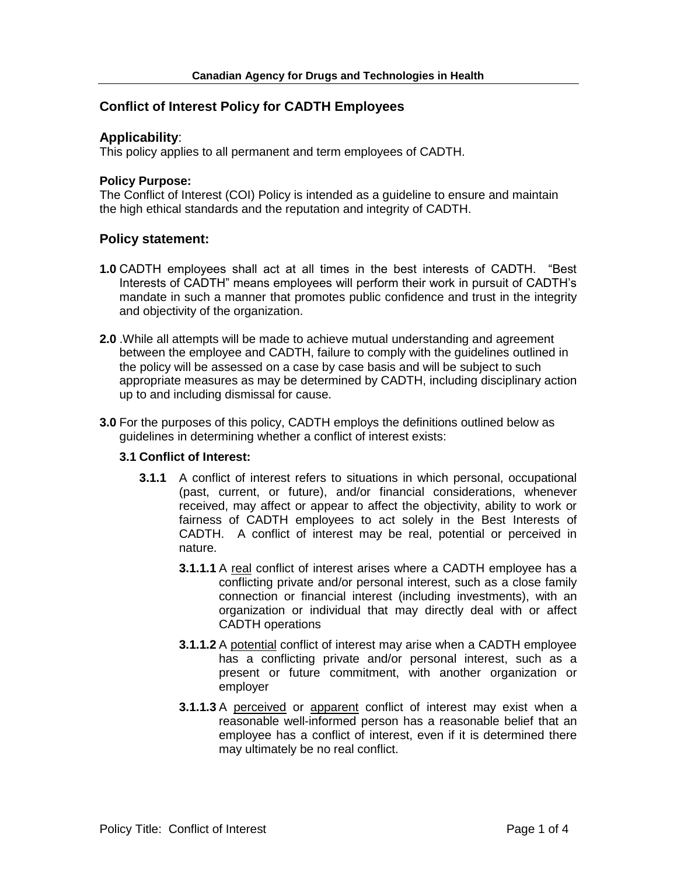# **Conflict of Interest Policy for CADTH Employees**

### **Applicability**:

This policy applies to all permanent and term employees of CADTH.

#### **Policy Purpose:**

The Conflict of Interest (COI) Policy is intended as a guideline to ensure and maintain the high ethical standards and the reputation and integrity of CADTH.

## **Policy statement:**

- **1.0** CADTH employees shall act at all times in the best interests of CADTH. "Best Interests of CADTH" means employees will perform their work in pursuit of CADTH's mandate in such a manner that promotes public confidence and trust in the integrity and objectivity of the organization.
- **2.0** .While all attempts will be made to achieve mutual understanding and agreement between the employee and CADTH, failure to comply with the guidelines outlined in the policy will be assessed on a case by case basis and will be subject to such appropriate measures as may be determined by CADTH, including disciplinary action up to and including dismissal for cause.
- **3.0** For the purposes of this policy, CADTH employs the definitions outlined below as guidelines in determining whether a conflict of interest exists:

## **3.1 Conflict of Interest:**

- **3.1.1** A conflict of interest refers to situations in which personal, occupational (past, current, or future), and/or financial considerations, whenever received, may affect or appear to affect the objectivity, ability to work or fairness of CADTH employees to act solely in the Best Interests of CADTH. A conflict of interest may be real, potential or perceived in nature.
	- **3.1.1.1** A real conflict of interest arises where a CADTH employee has a conflicting private and/or personal interest, such as a close family connection or financial interest (including investments), with an organization or individual that may directly deal with or affect CADTH operations
	- **3.1.1.2** A potential conflict of interest may arise when a CADTH employee has a conflicting private and/or personal interest, such as a present or future commitment, with another organization or employer
	- **3.1.1.3** A perceived or apparent conflict of interest may exist when a reasonable well-informed person has a reasonable belief that an employee has a conflict of interest, even if it is determined there may ultimately be no real conflict.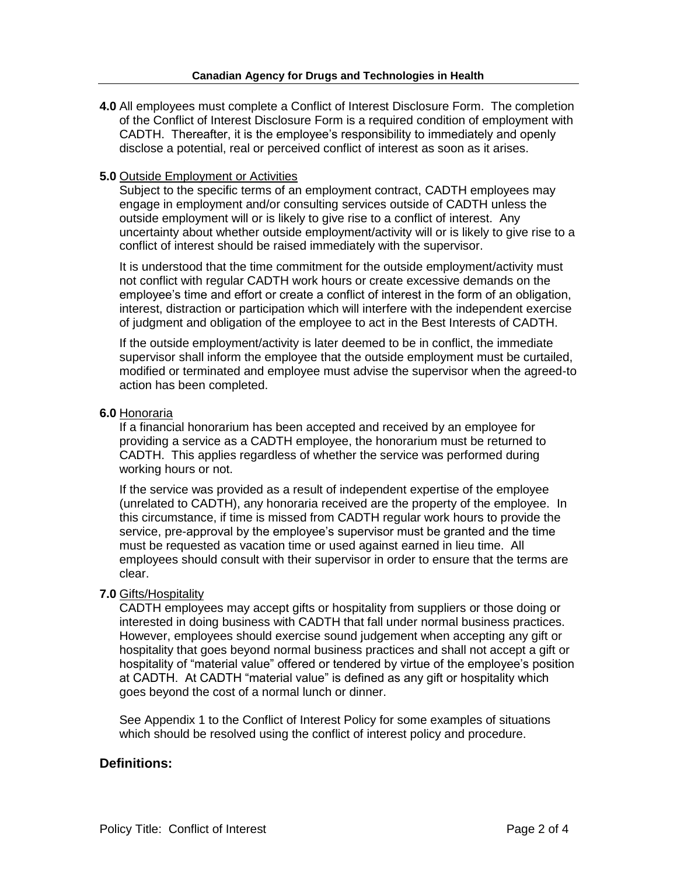**4.0** All employees must complete a Conflict of Interest Disclosure Form. The completion of the Conflict of Interest Disclosure Form is a required condition of employment with CADTH. Thereafter, it is the employee's responsibility to immediately and openly disclose a potential, real or perceived conflict of interest as soon as it arises.

### **5.0** Outside Employment or Activities

Subject to the specific terms of an employment contract, CADTH employees may engage in employment and/or consulting services outside of CADTH unless the outside employment will or is likely to give rise to a conflict of interest. Any uncertainty about whether outside employment/activity will or is likely to give rise to a conflict of interest should be raised immediately with the supervisor.

It is understood that the time commitment for the outside employment/activity must not conflict with regular CADTH work hours or create excessive demands on the employee's time and effort or create a conflict of interest in the form of an obligation, interest, distraction or participation which will interfere with the independent exercise of judgment and obligation of the employee to act in the Best Interests of CADTH.

If the outside employment/activity is later deemed to be in conflict, the immediate supervisor shall inform the employee that the outside employment must be curtailed, modified or terminated and employee must advise the supervisor when the agreed-to action has been completed.

#### **6.0** Honoraria

If a financial honorarium has been accepted and received by an employee for providing a service as a CADTH employee, the honorarium must be returned to CADTH. This applies regardless of whether the service was performed during working hours or not.

If the service was provided as a result of independent expertise of the employee (unrelated to CADTH), any honoraria received are the property of the employee. In this circumstance, if time is missed from CADTH regular work hours to provide the service, pre-approval by the employee's supervisor must be granted and the time must be requested as vacation time or used against earned in lieu time. All employees should consult with their supervisor in order to ensure that the terms are clear.

#### **7.0** Gifts/Hospitality

CADTH employees may accept gifts or hospitality from suppliers or those doing or interested in doing business with CADTH that fall under normal business practices. However, employees should exercise sound judgement when accepting any gift or hospitality that goes beyond normal business practices and shall not accept a gift or hospitality of "material value" offered or tendered by virtue of the employee's position at CADTH. At CADTH "material value" is defined as any gift or hospitality which goes beyond the cost of a normal lunch or dinner.

See Appendix 1 to the Conflict of Interest Policy for some examples of situations which should be resolved using the conflict of interest policy and procedure.

## **Definitions:**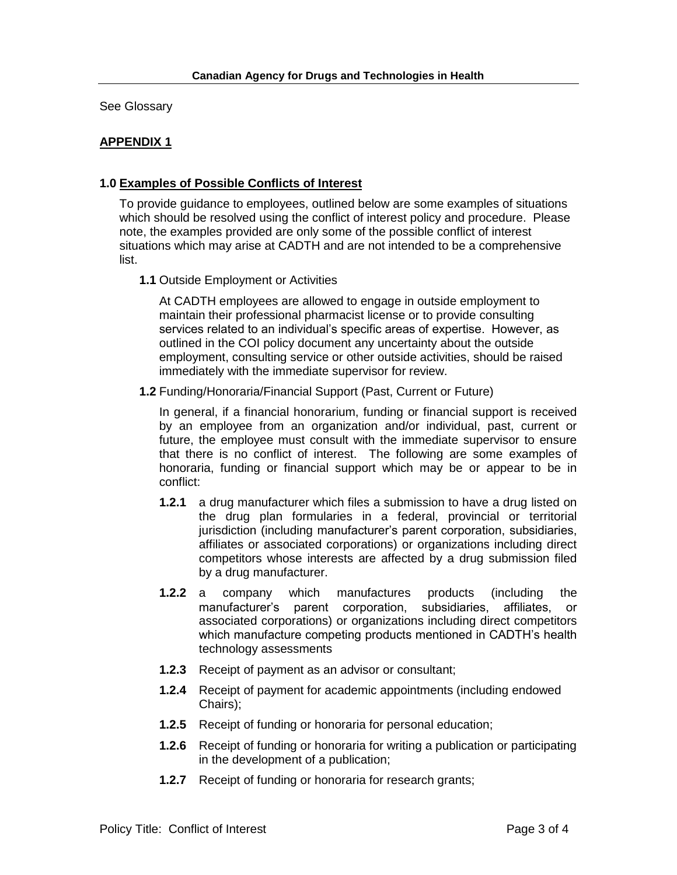See Glossary

# **APPENDIX 1**

### **1.0 Examples of Possible Conflicts of Interest**

To provide guidance to employees, outlined below are some examples of situations which should be resolved using the conflict of interest policy and procedure. Please note, the examples provided are only some of the possible conflict of interest situations which may arise at CADTH and are not intended to be a comprehensive list.

**1.1** Outside Employment or Activities

At CADTH employees are allowed to engage in outside employment to maintain their professional pharmacist license or to provide consulting services related to an individual's specific areas of expertise. However, as outlined in the COI policy document any uncertainty about the outside employment, consulting service or other outside activities, should be raised immediately with the immediate supervisor for review.

**1.2** Funding/Honoraria/Financial Support (Past, Current or Future)

In general, if a financial honorarium, funding or financial support is received by an employee from an organization and/or individual, past, current or future, the employee must consult with the immediate supervisor to ensure that there is no conflict of interest. The following are some examples of honoraria, funding or financial support which may be or appear to be in conflict:

- **1.2.1** a drug manufacturer which files a submission to have a drug listed on the drug plan formularies in a federal, provincial or territorial jurisdiction (including manufacturer's parent corporation, subsidiaries, affiliates or associated corporations) or organizations including direct competitors whose interests are affected by a drug submission filed by a drug manufacturer.
- **1.2.2** a company which manufactures products (including the manufacturer's parent corporation, subsidiaries, affiliates, or associated corporations) or organizations including direct competitors which manufacture competing products mentioned in CADTH's health technology assessments
- **1.2.3** Receipt of payment as an advisor or consultant;
- **1.2.4** Receipt of payment for academic appointments (including endowed Chairs);
- **1.2.5** Receipt of funding or honoraria for personal education;
- **1.2.6** Receipt of funding or honoraria for writing a publication or participating in the development of a publication;
- **1.2.7** Receipt of funding or honoraria for research grants;